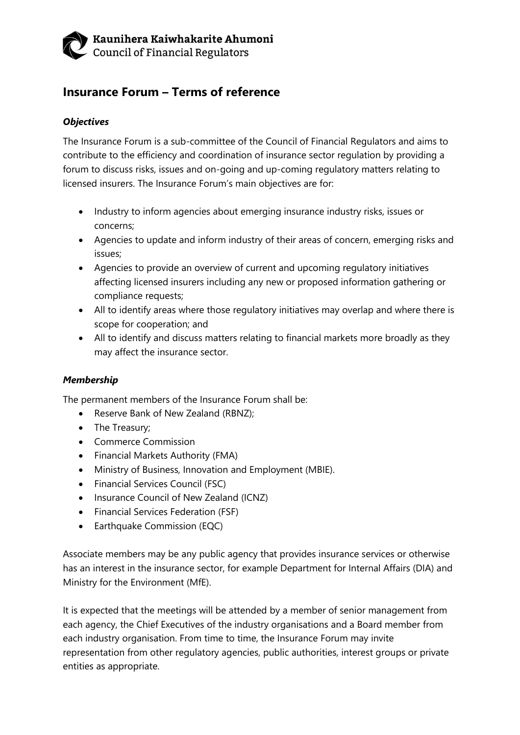## Kaunihera Kaiwhakarite Ahumoni Council of Financial Regulators

# **Insurance Forum – Terms of reference**

#### *Objectives*

The Insurance Forum is a sub-committee of the Council of Financial Regulators and aims to contribute to the efficiency and coordination of insurance sector regulation by providing a forum to discuss risks, issues and on-going and up-coming regulatory matters relating to licensed insurers. The Insurance Forum's main objectives are for:

- Industry to inform agencies about emerging insurance industry risks, issues or concerns;
- Agencies to update and inform industry of their areas of concern, emerging risks and issues;
- Agencies to provide an overview of current and upcoming regulatory initiatives affecting licensed insurers including any new or proposed information gathering or compliance requests;
- All to identify areas where those regulatory initiatives may overlap and where there is scope for cooperation; and
- All to identify and discuss matters relating to financial markets more broadly as they may affect the insurance sector.

#### *Membership*

The permanent members of the Insurance Forum shall be:

- Reserve Bank of New Zealand (RBNZ);
- The Treasury;
- Commerce Commission
- Financial Markets Authority (FMA)
- Ministry of Business, Innovation and Employment (MBIE).
- Financial Services Council (FSC)
- Insurance Council of New Zealand (ICNZ)
- Financial Services Federation (FSF)
- Earthquake Commission (EQC)

Associate members may be any public agency that provides insurance services or otherwise has an interest in the insurance sector, for example Department for Internal Affairs (DIA) and Ministry for the Environment (MfE).

It is expected that the meetings will be attended by a member of senior management from each agency, the Chief Executives of the industry organisations and a Board member from each industry organisation. From time to time, the Insurance Forum may invite representation from other regulatory agencies, public authorities, interest groups or private entities as appropriate.